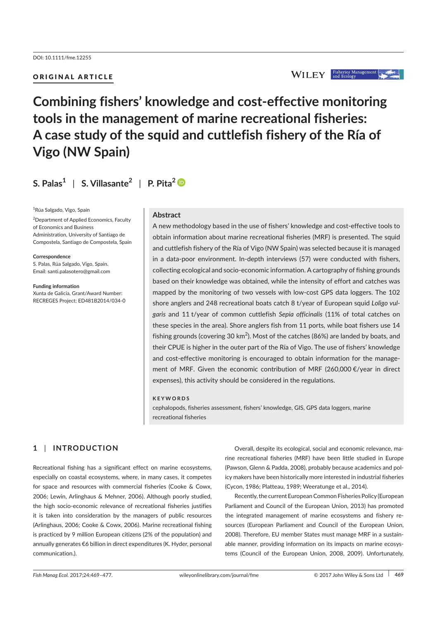# ORIGINAL ARTICLE



# **Combining fishers' knowledge and cost-effective monitoring tools in the management of marine recreational fisheries: A case study of the squid and cuttlefish fishery of the Ría of Vigo (NW Spain)**

# **S. Palas<sup>1</sup>** | **S. Villasante<sup>2</sup>** | **P. Pita<sup>2</sup>**

<sup>1</sup>Rúa Salgado, Vigo, Spain

<sup>2</sup> Department of Applied Economics, Faculty of Economics and Business Administration, University of Santiago de Compostela, Santiago de Compostela, Spain

**Correspondence**

S. Palas, Rúa Salgado, Vigo, Spain. Email: santi.palasotero@gmail.com

**Funding information** Xunta de Galicia, Grant/Award Number: RECREGES Project; ED481B2014/034-0

#### **Abstract**

A new methodology based in the use of fishers' knowledge and cost-effective tools to obtain information about marine recreational fisheries (MRF) is presented. The squid and cuttlefish fishery of the Ría of Vigo (NW Spain) was selected because it is managed in a data-poor environment. In-depth interviews (57) were conducted with fishers, collecting ecological and socio-economic information. A cartography of fishing grounds based on their knowledge was obtained, while the intensity of effort and catches was mapped by the monitoring of two vessels with low-cost GPS data loggers. The 102 shore anglers and 248 recreational boats catch 8 t/year of European squid *Loligo vulgaris* and 11 t/year of common cuttlefish *Sepia officinalis* (11% of total catches on these species in the area). Shore anglers fish from 11 ports, while boat fishers use 14 fishing grounds (covering 30 km $^2$ ). Most of the catches (86%) are landed by boats, and their CPUE is higher in the outer part of the Ría of Vigo. The use of fishers' knowledge and cost-effective monitoring is encouraged to obtain information for the management of MRF. Given the economic contribution of MRF (260,000 €/year in direct expenses), this activity should be considered in the regulations.

#### **KEYWORDS**

cephalopods, fisheries assessment, fishers' knowledge, GIS, GPS data loggers, marine recreational fisheries

# **1** | **INTRODUCTION**

Recreational fishing has a significant effect on marine ecosystems, especially on coastal ecosystems, where, in many cases, it competes for space and resources with commercial fisheries (Cooke & Cowx, 2006; Lewin, Arlinghaus & Mehner, 2006). Although poorly studied, the high socio-economic relevance of recreational fisheries justifies it is taken into consideration by the managers of public resources (Arlinghaus, 2006; Cooke & Cowx, 2006). Marine recreational fishing is practiced by 9 million European citizens (2% of the population) and annually generates €6 billion in direct expenditures (K. Hyder, personal communication.).

Overall, despite its ecological, social and economic relevance, marine recreational fisheries (MRF) have been little studied in Europe (Pawson, Glenn & Padda, 2008), probably because academics and policy makers have been historically more interested in industrial fisheries (Cycon, 1986; Platteau, 1989; Weeratunge et al., 2014).

Recently, the current European Common Fisheries Policy (European Parliament and Council of the European Union, 2013) has promoted the integrated management of marine ecosystems and fishery resources (European Parliament and Council of the European Union, 2008). Therefore, EU member States must manage MRF in a sustainable manner, providing information on its impacts on marine ecosystems (Council of the European Union, 2008, 2009). Unfortunately,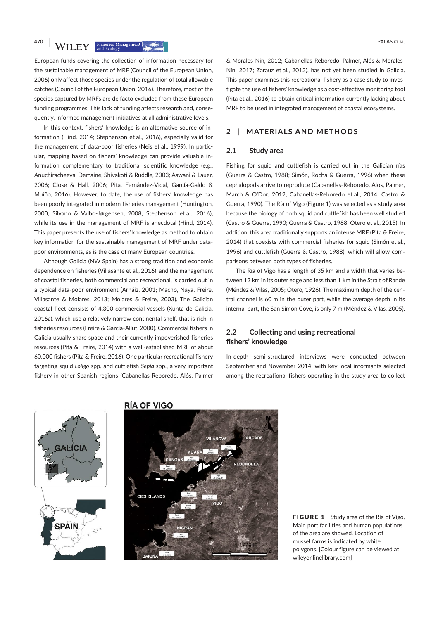European funds covering the collection of information necessary for the sustainable management of MRF (Council of the European Union, 2006) only affect those species under the regulation of total allowable catches (Council of the European Union, 2016). Therefore, most of the species captured by MRFs are de facto excluded from these European funding programmes. This lack of funding affects research and, consequently, informed management initiatives at all administrative levels.

In this context, fishers' knowledge is an alternative source of information (Hind, 2014; Stephenson et al., 2016), especially valid for the management of data-poor fisheries (Neis et al., 1999). In particular, mapping based on fishers' knowledge can provide valuable information complementary to traditional scientific knowledge (e.g., Anuchiracheeva, Demaine, Shivakoti & Ruddle, 2003; Aswani & Lauer, 2006; Close & Hall, 2006; Pita, Fernández-Vidal, García-Galdo & Muíño, 2016). However, to date, the use of fishers' knowledge has been poorly integrated in modern fisheries management (Huntington, 2000; Silvano & Valbo-Jørgensen, 2008; Stephenson et al., 2016), while its use in the management of MRF is anecdotal (Hind, 2014). This paper presents the use of fishers' knowledge as method to obtain key information for the sustainable management of MRF under datapoor environments, as is the case of many European countries.

Although Galicia (NW Spain) has a strong tradition and economic dependence on fisheries (Villasante et al., 2016), and the management of coastal fisheries, both commercial and recreational, is carried out in a typical data-poor environment (Arnáiz, 2001; Macho, Naya, Freire, Villasante & Molares, 2013; Molares & Freire, 2003). The Galician coastal fleet consists of 4,300 commercial vessels (Xunta de Galicia, 2016a), which use a relatively narrow continental shelf, that is rich in fisheries resources (Freire & García-Allut, 2000). Commercial fishers in Galicia usually share space and their currently impoverished fisheries resources (Pita & Freire, 2014) with a well-established MRF of about 60,000 fishers (Pita & Freire, 2016). One particular recreational fishery targeting squid *Loligo* spp. and cuttlefish *Sepia* spp., a very important fishery in other Spanish regions (Cabanellas-Reboredo, Alós, Palmer

& Morales-Nin, 2012; Cabanellas-Reboredo, Palmer, Alós & Morales-Nin, 2017; Zarauz et al., 2013), has not yet been studied in Galicia. This paper examines this recreational fishery as a case study to investigate the use of fishers' knowledge as a cost-effective monitoring tool (Pita et al., 2016) to obtain critical information currently lacking about MRF to be used in integrated management of coastal ecosystems.

#### **2** | **MATERIALS AND METHODS**

#### **2.1** | **Study area**

Fishing for squid and cuttlefish is carried out in the Galician rías (Guerra & Castro, 1988; Simón, Rocha & Guerra, 1996) when these cephalopods arrive to reproduce (Cabanellas-Reboredo, Alos, Palmer, March & O'Dor, 2012; Cabanellas-Reboredo et al., 2014; Castro & Guerra, 1990). The Ría of Vigo (Figure 1) was selected as a study area because the biology of both squid and cuttlefish has been well studied (Castro & Guerra, 1990; Guerra & Castro, 1988; Otero et al., 2015). In addition, this area traditionally supports an intense MRF (Pita & Freire, 2014) that coexists with commercial fisheries for squid (Simón et al., 1996) and cuttlefish (Guerra & Castro, 1988), which will allow comparisons between both types of fisheries.

The Ría of Vigo has a length of 35 km and a width that varies between 12 km in its outer edge and less than 1 km in the Strait of Rande (Méndez & Vilas, 2005; Otero, 1926). The maximum depth of the central channel is 60 m in the outer part, while the average depth in its internal part, the San Simón Cove, is only 7 m (Méndez & Vilas, 2005).

## **2.2** | **Collecting and using recreational fishers' knowledge**

In-depth semi-structured interviews were conducted between September and November 2014, with key local informants selected among the recreational fishers operating in the study area to collect



#### **RÍA OF VIGO**



FIGURE 1 Study area of the Ría of Vigo. Main port facilities and human populations of the area are showed. Location of mussel farms is indicated by white polygons. [Colour figure can be viewed at wileyonlinelibrary.com]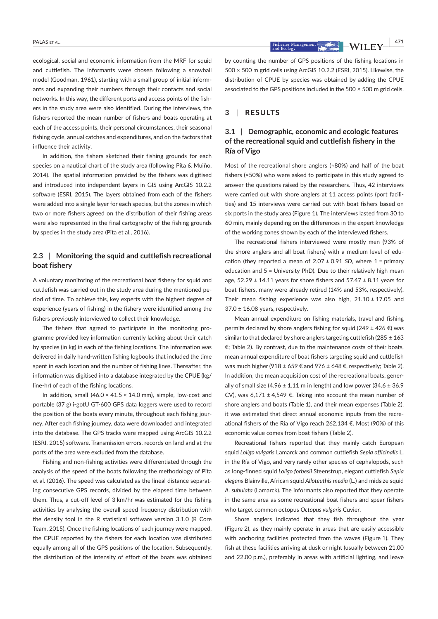ecological, social and economic information from the MRF for squid and cuttlefish. The informants were chosen following a snowball model (Goodman, 1961), starting with a small group of initial informants and expanding their numbers through their contacts and social networks. In this way, the different ports and access points of the fishers in the study area were also identified. During the interviews, the fishers reported the mean number of fishers and boats operating at each of the access points, their personal circumstances, their seasonal fishing cycle, annual catches and expenditures, and on the factors that influence their activity.

In addition, the fishers sketched their fishing grounds for each species on a nautical chart of the study area (following Pita & Muiño, 2014). The spatial information provided by the fishers was digitised and introduced into independent layers in GIS using ArcGIS 10.2.2 software (ESRI, 2015). The layers obtained from each of the fishers were added into a single layer for each species, but the zones in which two or more fishers agreed on the distribution of their fishing areas were also represented in the final cartography of the fishing grounds by species in the study area (Pita et al., 2016).

# **2.3** | **Monitoring the squid and cuttlefish recreational boat fishery**

A voluntary monitoring of the recreational boat fishery for squid and cuttlefish was carried out in the study area during the mentioned period of time. To achieve this, key experts with the highest degree of experience (years of fishing) in the fishery were identified among the fishers previously interviewed to collect their knowledge.

The fishers that agreed to participate in the monitoring programme provided key information currently lacking about their catch by species (in kg) in each of the fishing locations. The information was delivered in daily hand-written fishing logbooks that included the time spent in each location and the number of fishing lines. Thereafter, the information was digitised into a database integrated by the CPUE (kg/ line-hr) of each of the fishing locations.

In addition, small  $(46.0 \times 41.5 \times 14.0 \text{ mm})$ , simple, low-cost and portable (37 g) i-gotU GT-600 GPS data loggers were used to record the position of the boats every minute, throughout each fishing journey. After each fishing journey, data were downloaded and integrated into the database. The GPS tracks were mapped using ArcGIS 10.2.2 (ESRI, 2015) software. Transmission errors, records on land and at the ports of the area were excluded from the database.

Fishing and non-fishing activities were differentiated through the analysis of the speed of the boats following the methodology of Pita et al. (2016). The speed was calculated as the lineal distance separating consecutive GPS records, divided by the elapsed time between them. Thus, a cut-off level of 3 km/hr was estimated for the fishing activities by analysing the overall speed frequency distribution with the density tool in the R statistical software version 3.1.0 (R Core Team, 2015). Once the fishing locations of each journey were mapped, the CPUE reported by the fishers for each location was distributed equally among all of the GPS positions of the location. Subsequently, the distribution of the intensity of effort of the boats was obtained by counting the number of GPS positions of the fishing locations in 500 × 500 m grid cells using ArcGIS 10.2.2 (ESRI, 2015). Likewise, the distribution of CPUE by species was obtained by adding the CPUE associated to the GPS positions included in the 500 × 500 m grid cells.

#### **3** | **RESULTS**

# **3.1** | **Demographic, economic and ecologic features of the recreational squid and cuttlefish fishery in the Ría of Vigo**

Most of the recreational shore anglers (≈80%) and half of the boat fishers (≈50%) who were asked to participate in this study agreed to answer the questions raised by the researchers. Thus, 42 interviews were carried out with shore anglers at 11 access points (port facilities) and 15 interviews were carried out with boat fishers based on six ports in the study area (Figure 1). The interviews lasted from 30 to 60 min, mainly depending on the differences in the expert knowledge of the working zones shown by each of the interviewed fishers.

The recreational fishers interviewed were mostly men (93% of the shore anglers and all boat fishers) with a medium level of education (they reported a mean of  $2.07 \pm 0.91$  SD, where  $1 =$  primary education and 5 = University PhD). Due to their relatively high mean age,  $52.29 \pm 14.11$  years for shore fishers and  $57.47 \pm 8.11$  years for boat fishers, many were already retired (14% and 53%, respectively). Their mean fishing experience was also high,  $21.10 \pm 17.05$  and  $37.0 \pm 16.08$  years, respectively.

Mean annual expenditure on fishing materials, travel and fishing permits declared by shore anglers fishing for squid (249  $\pm$  426 €) was similar to that declared by shore anglers targeting cuttlefish (285  $\pm$  163 €; Table 2). By contrast, due to the maintenance costs of their boats, mean annual expenditure of boat fishers targeting squid and cuttlefish was much higher (918 ± 659 € and 976 ± 648 €, respectively; Table 2). In addition, the mean acquisition cost of the recreational boats, generally of small size (4.96  $\pm$  1.11 m in length) and low power (34.6  $\pm$  36.9 CV), was  $6,171 ± 4,549 \epsilon$ . Taking into account the mean number of shore anglers and boats (Table 1), and their mean expenses (Table 2), it was estimated that direct annual economic inputs from the recreational fishers of the Ría of Vigo reach 262,134 €. Most (90%) of this economic value comes from boat fishers (Table 2).

Recreational fishers reported that they mainly catch European squid *Loligo vulgaris* Lamarck and common cuttlefish *Sepia officinalis* L. in the Ría of Vigo, and very rarely other species of cephalopods, such as long-finned squid *Loligo forbesii* Steenstrup, elegant cuttlefish *Sepia elegans* Blainville, African squid *Alloteuthis media* (L.) and midsize squid *A. subulata* (Lamarck). The informants also reported that they operate in the same area as some recreational boat fishers and spear fishers who target common octopus *Octopus vulgaris* Cuvier.

Shore anglers indicated that they fish throughout the year (Figure 2), as they mainly operate in areas that are easily accessible with anchoring facilities protected from the waves (Figure 1). They fish at these facilities arriving at dusk or night (usually between 21.00 and 22.00 p.m.), preferably in areas with artificial lighting, and leave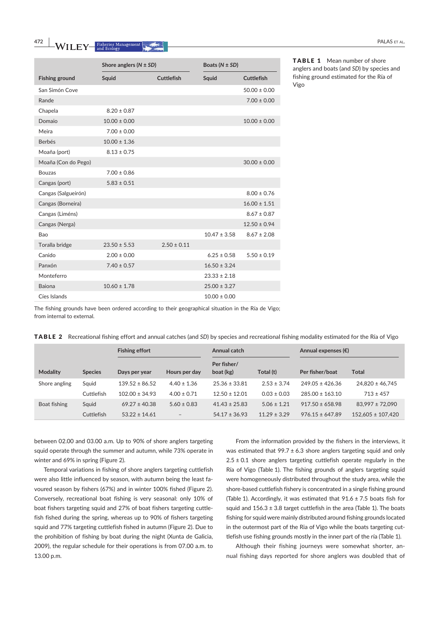|                       |                  |                   | DUULJ (18 – JD J |                   |  |
|-----------------------|------------------|-------------------|------------------|-------------------|--|
| <b>Fishing ground</b> | Squid            | <b>Cuttlefish</b> | Squid            | <b>Cuttlefish</b> |  |
| San Simón Cove        |                  |                   |                  | $50.00 \pm 0.00$  |  |
| Rande                 |                  |                   |                  | $7.00 \pm 0.00$   |  |
| Chapela               | $8.20 \pm 0.87$  |                   |                  |                   |  |
| Domaio                | $10.00 \pm 0.00$ |                   |                  | $10.00 \pm 0.00$  |  |
| Meira                 | $7.00 \pm 0.00$  |                   |                  |                   |  |
| <b>Berbés</b>         | $10.00 \pm 1.36$ |                   |                  |                   |  |
| Moaña (port)          | $8.13 \pm 0.75$  |                   |                  |                   |  |
| Moaña (Con do Pego)   |                  |                   |                  | $30.00 \pm 0.00$  |  |
| <b>Bouzas</b>         | $7.00 \pm 0.86$  |                   |                  |                   |  |
| Cangas (port)         | $5.83 \pm 0.51$  |                   |                  |                   |  |
| Cangas (Salgueirón)   |                  |                   |                  | $8.00 \pm 0.76$   |  |
| Cangas (Borneira)     |                  |                   |                  | $16.00 \pm 1.51$  |  |
| Cangas (Liméns)       |                  |                   |                  | $8.67 \pm 0.87$   |  |
| Cangas (Nerga)        |                  |                   |                  | $12.50 \pm 0.94$  |  |
| Bao                   |                  |                   | $10.47 \pm 3.58$ | $8.67 \pm 2.08$   |  |
| Toralla bridge        | $23.50 \pm 5.53$ | $2.50 \pm 0.11$   |                  |                   |  |
| Canido                | $2.00 \pm 0.00$  |                   | $6.25 \pm 0.58$  | $5.50 \pm 0.19$   |  |
| Panxón                | $7.40 \pm 0.57$  |                   | $16.50 \pm 3.24$ |                   |  |
| Monteferro            |                  |                   | $23.33 \pm 2.18$ |                   |  |
| <b>Baiona</b>         | $10.60 \pm 1.78$ |                   | $25.00 \pm 3.27$ |                   |  |
| Cíes Islands          |                  |                   | $10.00 \pm 0.00$ |                   |  |

The fishing grounds have been ordered according to their geographical situation in the Ría de Vigo; from internal to external.

|  | TABLE 2 Recreational fishing effort and annual catches (and SD) by species and recreational fishing modality estimated for the Ría of Vigo |  |  |  |
|--|--------------------------------------------------------------------------------------------------------------------------------------------|--|--|--|
|--|--------------------------------------------------------------------------------------------------------------------------------------------|--|--|--|

|                 |                | <b>Fishing effort</b><br>Annual catch |                   |                          | Annual expenses $(\epsilon)$ |                     |                       |
|-----------------|----------------|---------------------------------------|-------------------|--------------------------|------------------------------|---------------------|-----------------------|
| <b>Modality</b> | <b>Species</b> | Days per year                         | Hours per day     | Per fisher/<br>boat (kg) | Total (t)                    | Per fisher/boat     | Total                 |
| Shore angling   | Squid          | $139.52 \pm 86.52$                    | $4.40 \pm 1.36$   | $25.36 \pm 33.81$        | $2.53 \pm 3.74$              | $249.05 \pm 426.36$ | $24.820 \pm 46.745$   |
|                 | Cuttlefish     | $102.00 \pm 34.93$                    | $4.00 \pm 0.71$   | $12.50 \pm 12.01$        | $0.03 \pm 0.03$              | $285.00 \pm 163.10$ | $713 \pm 457$         |
| Boat fishing    | Squid          | $69.27 \pm 40.38$                     | $5.60 \pm 0.83$   | $41.43 \pm 25.83$        | $5.06 \pm 1.21$              | $917.50 \pm 658.98$ | $83,997 \pm 72,090$   |
|                 | Cuttlefish     | $53.22 \pm 14.61$                     | $\qquad \qquad -$ | $54.17 \pm 36.93$        | $11.29 \pm 3.29$             | $976.15 \pm 647.89$ | $152.605 \pm 107.420$ |

between 02.00 and 03.00 a.m. Up to 90% of shore anglers targeting squid operate through the summer and autumn, while 73% operate in winter and 69% in spring (Figure 2).

Temporal variations in fishing of shore anglers targeting cuttlefish were also little influenced by season, with autumn being the least favoured season by fishers (67%) and in winter 100% fished (Figure 2). Conversely, recreational boat fishing is very seasonal: only 10% of boat fishers targeting squid and 27% of boat fishers targeting cuttlefish fished during the spring, whereas up to 90% of fishers targeting squid and 77% targeting cuttlefish fished in autumn (Figure 2). Due to the prohibition of fishing by boat during the night (Xunta de Galicia, 2009), the regular schedule for their operations is from 07.00 a.m. to 13.00 p.m.

From the information provided by the fishers in the interviews, it was estimated that  $99.7 \pm 6.3$  shore anglers targeting squid and only  $2.5 \pm 0.1$  shore anglers targeting cuttlefish operate regularly in the Ría of Vigo (Table 1). The fishing grounds of anglers targeting squid were homogeneously distributed throughout the study area, while the shore-based cuttlefish fishery is concentrated in a single fishing ground (Table 1). Accordingly, it was estimated that  $91.6 \pm 7.5$  boats fish for squid and  $156.3 \pm 3.8$  target cuttlefish in the area (Table 1). The boats fishing for squid were mainly distributed around fishing grounds located in the outermost part of the Ria of Vigo while the boats targeting cuttlefish use fishing grounds mostly in the inner part of the ría (Table 1).

Although their fishing journeys were somewhat shorter, annual fishing days reported for shore anglers was doubled that of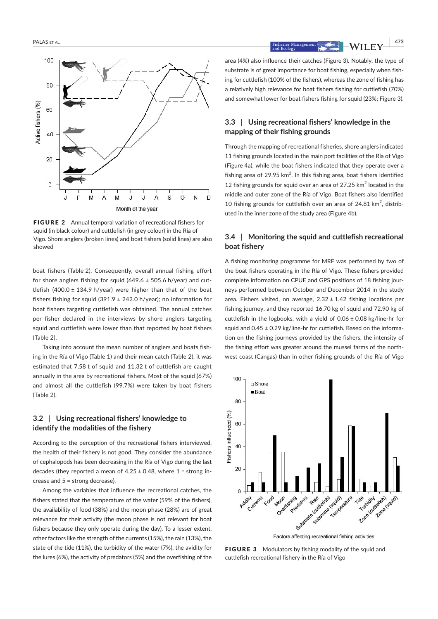

FIGURE 2 Annual temporal variation of recreational fishers for squid (in black colour) and cuttlefish (in grey colour) in the Ría of Vigo. Shore anglers (broken lines) and boat fishers (solid lines) are also showed

boat fishers (Table 2). Consequently, overall annual fishing effort for shore anglers fishing for squid  $(649.6 \pm 505.6 \text{ h/year})$  and cuttlefish (400.0  $\pm$  134.9 h/year) were higher than that of the boat fishers fishing for squid (391.9  $\pm$  242.0 h/year); no information for boat fishers targeting cuttlefish was obtained. The annual catches per fisher declared in the interviews by shore anglers targeting squid and cuttlefish were lower than that reported by boat fishers (Table 2).

Taking into account the mean number of anglers and boats fishing in the Ría of Vigo (Table 1) and their mean catch (Table 2), it was estimated that 7.58 t of squid and 11.32 t of cuttlefish are caught annually in the area by recreational fishers. Most of the squid (67%) and almost all the cuttlefish (99.7%) were taken by boat fishers (Table 2).

#### **3.2** | **Using recreational fishers' knowledge to identify the modalities of the fishery**

According to the perception of the recreational fishers interviewed, the health of their fishery is not good. They consider the abundance of cephalopods has been decreasing in the Ría of Vigo during the last decades (they reported a mean of  $4.25 \pm 0.48$ , where  $1 =$  strong increase and 5 = strong decrease).

Among the variables that influence the recreational catches, the fishers stated that the temperature of the water (59% of the fishers), the availability of food (38%) and the moon phase (28%) are of great relevance for their activity (the moon phase is not relevant for boat fishers because they only operate during the day). To a lesser extent, other factors like the strength of the currents (15%), the rain (13%), the state of the tide (11%), the turbidity of the water (7%), the avidity for the lures (6%), the activity of predators (5%) and the overfishing of the area (4%) also influence their catches (Figure 3). Notably, the type of substrate is of great importance for boat fishing, especially when fishing for cuttlefish (100% of the fishers), whereas the zone of fishing has a relatively high relevance for boat fishers fishing for cuttlefish (70%) and somewhat lower for boat fishers fishing for squid (23%; Figure 3).

#### **3.3** | **Using recreational fishers' knowledge in the mapping of their fishing grounds**

Through the mapping of recreational fisheries, shore anglers indicated 11 fishing grounds located in the main port facilities of the Ría of Vigo (Figure 4a), while the boat fishers indicated that they operate over a fishing area of 29.95 km $^2$ . In this fishing area, boat fishers identified 12 fishing grounds for squid over an area of 27.25  $\mathrm{km}^2$  located in the middle and outer zone of the Ría of Vigo. Boat fishers also identified 10 fishing grounds for cuttlefish over an area of 24.81 km<sup>2</sup>, distributed in the inner zone of the study area (Figure 4b).

# **3.4** | **Monitoring the squid and cuttlefish recreational boat fishery**

A fishing monitoring programme for MRF was performed by two of the boat fishers operating in the Ría of Vigo. These fishers provided complete information on CPUE and GPS positions of 18 fishing journeys performed between October and December 2014 in the study area. Fishers visited, on average,  $2.32 \pm 1.42$  fishing locations per fishing journey, and they reported 16.70 kg of squid and 72.90 kg of cuttlefish in the logbooks, with a yield of  $0.06 \pm 0.08$  kg/line-hr for squid and 0.45 ± 0.29 kg/line-hr for cuttlefish. Based on the information on the fishing journeys provided by the fishers, the intensity of the fishing effort was greater around the mussel farms of the northwest coast (Cangas) than in other fishing grounds of the Ría of Vigo



FIGURE 3 Modulators by fishing modality of the squid and cuttlefish recreational fishery in the Ría of Vigo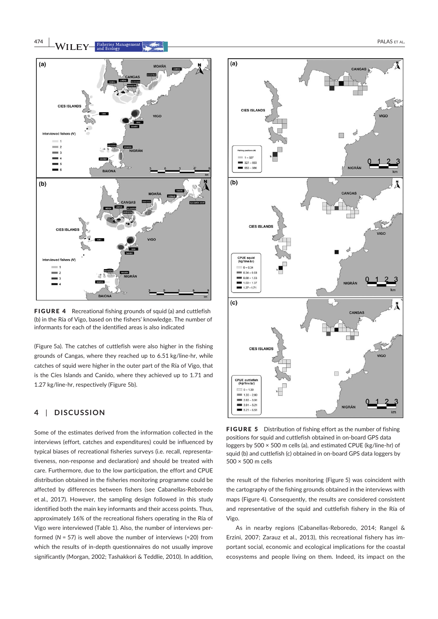

FIGURE 4 Recreational fishing grounds of squid (a) and cuttlefish (b) in the Ría of Vigo, based on the fishers' knowledge. The number of informants for each of the identified areas is also indicated

(Figure 5a). The catches of cuttlefish were also higher in the fishing grounds of Cangas, where they reached up to 6.51 kg/line-hr, while catches of squid were higher in the outer part of the Ría of Vigo, that is the Cíes Islands and Canido, where they achieved up to 1.71 and 1.27 kg/line-hr, respectively (Figure 5b).

# **4** | **DISCUSSION**

Some of the estimates derived from the information collected in the interviews (effort, catches and expenditures) could be influenced by typical biases of recreational fisheries surveys (i.e. recall, representativeness, non-response and declaration) and should be treated with care. Furthermore, due to the low participation, the effort and CPUE distribution obtained in the fisheries monitoring programme could be affected by differences between fishers (see Cabanellas-Reboredo et al., 2017). However, the sampling design followed in this study identified both the main key informants and their access points. Thus, approximately 16% of the recreational fishers operating in the Ría of Vigo were interviewed (Table 1). Also, the number of interviews performed ( $N = 57$ ) is well above the number of interviews ( $\approx$ 20) from which the results of in-depth questionnaires do not usually improve significantly (Morgan, 2002; Tashakkori & Teddlie, 2010). In addition,



FIGURE 5 Distribution of fishing effort as the number of fishing positions for squid and cuttlefish obtained in on-board GPS data loggers by 500 × 500 m cells (a), and estimated CPUE (kg/line-hr) of squid (b) and cuttlefish (c) obtained in on-board GPS data loggers by 500 × 500 m cells

the result of the fisheries monitoring (Figure 5) was coincident with the cartography of the fishing grounds obtained in the interviews with maps (Figure 4). Consequently, the results are considered consistent and representative of the squid and cuttlefish fishery in the Ría of Vigo.

As in nearby regions (Cabanellas-Reboredo, 2014; Rangel & Erzini, 2007; Zarauz et al., 2013), this recreational fishery has important social, economic and ecological implications for the coastal ecosystems and people living on them. Indeed, its impact on the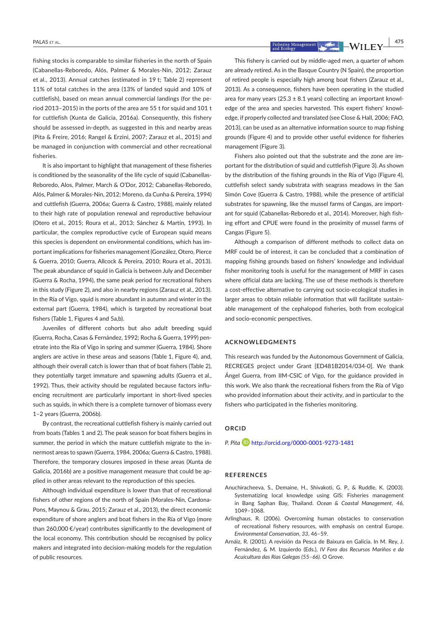fishing stocks is comparable to similar fisheries in the north of Spain (Cabanellas-Reboredo, Alós, Palmer & Morales-Nin, 2012; Zarauz et al., 2013). Annual catches (estimated in 19 t; Table 2) represent 11% of total catches in the area (13% of landed squid and 10% of cuttlefish), based on mean annual commercial landings (for the period 2013–2015) in the ports of the area are 55 t for squid and 101 t for cuttlefish (Xunta de Galicia, 2016a). Consequently, this fishery should be assessed in-depth, as suggested in this and nearby areas (Pita & Freire, 2016; Rangel & Erzini, 2007; Zarauz et al., 2015) and be managed in conjunction with commercial and other recreational fisheries.

It is also important to highlight that management of these fisheries is conditioned by the seasonality of the life cycle of squid (Cabanellas-Reboredo, Alos, Palmer, March & O'Dor, 2012; Cabanellas-Reboredo, Alós, Palmer & Morales-Nin, 2012; Moreno, da Cunha & Pereira, 1994) and cuttlefish (Guerra, 2006a; Guerra & Castro, 1988), mainly related to their high rate of population renewal and reproductive behaviour (Otero et al., 2015; Roura et al., 2013; Sánchez & Martín, 1993). In particular, the complex reproductive cycle of European squid means this species is dependent on environmental conditions, which has important implications for fisheries management (González, Otero, Pierce & Guerra, 2010; Guerra, Allcock & Pereira, 2010; Roura et al., 2013). The peak abundance of squid in Galicia is between July and December (Guerra & Rocha, 1994), the same peak period for recreational fishers in this study (Figure 2), and also in nearby regions (Zarauz et al., 2013). In the Ría of Vigo, squid is more abundant in autumn and winter in the external part (Guerra, 1984), which is targeted by recreational boat fishers (Table 1, Figures 4 and 5a,b).

Juveniles of different cohorts but also adult breeding squid (Guerra, Rocha, Casas & Fernández, 1992; Rocha & Guerra, 1999) penetrate into the Ría of Vigo in spring and summer (Guerra, 1984). Shore anglers are active in these areas and seasons (Table 1, Figure 4), and, although their overall catch is lower than that of boat fishers (Table 2), they potentially target immature and spawning adults (Guerra et al., 1992). Thus, their activity should be regulated because factors influencing recruitment are particularly important in short-lived species such as squids, in which there is a complete turnover of biomass every 1–2 years (Guerra, 2006b).

By contrast, the recreational cuttlefish fishery is mainly carried out from boats (Tables 1 and 2). The peak season for boat fishers begins in summer, the period in which the mature cuttlefish migrate to the innermost areas to spawn (Guerra, 1984, 2006a; Guerra & Castro, 1988). Therefore, the temporary closures imposed in these areas (Xunta de Galicia, 2016b) are a positive management measure that could be applied in other areas relevant to the reproduction of this species.

Although individual expenditure is lower than that of recreational fishers of other regions of the north of Spain (Morales-Nin, Cardona-Pons, Maynou & Grau, 2015; Zarauz et al., 2013), the direct economic expenditure of shore anglers and boat fishers in the Ría of Vigo (more than 260,000 €/year) contributes significantly to the development of the local economy. This contribution should be recognised by policy makers and integrated into decision-making models for the regulation of public resources.

This fishery is carried out by middle-aged men, a quarter of whom are already retired. As in the Basque Country (N Spain), the proportion of retired people is especially high among boat fishers (Zarauz et al., 2013). As a consequence, fishers have been operating in the studied area for many years (25.3  $\pm$  8.1 years) collecting an important knowledge of the area and species harvested. This expert fishers' knowledge, if properly collected and translated (see Close & Hall, 2006; FAO, 2013), can be used as an alternative information source to map fishing grounds (Figure 4) and to provide other useful evidence for fisheries management (Figure 3).

Fishers also pointed out that the substrate and the zone are important for the distribution of squid and cuttlefish (Figure 3). As shown by the distribution of the fishing grounds in the Ría of Vigo (Figure 4), cuttlefish select sandy substrata with seagrass meadows in the San Simón Cove (Guerra & Castro, 1988), while the presence of artificial substrates for spawning, like the mussel farms of Cangas, are important for squid (Cabanellas-Reboredo et al., 2014). Moreover, high fishing effort and CPUE were found in the proximity of mussel farms of Cangas (Figure 5).

Although a comparison of different methods to collect data on MRF could be of interest, it can be concluded that a combination of mapping fishing grounds based on fishers' knowledge and individual fisher monitoring tools is useful for the management of MRF in cases where official data are lacking. The use of these methods is therefore a cost-effective alternative to carrying out socio-ecological studies in larger areas to obtain reliable information that will facilitate sustainable management of the cephalopod fisheries, both from ecological and socio-economic perspectives.

#### **ACKNOWLEDGMENTS**

This research was funded by the Autonomous Government of Galicia, RECREGES project under Grant [ED481B2014/034-0]. We thank Ángel Guerra, from IIM-CSIC of Vigo, for the guidance provided in this work. We also thank the recreational fishers from the Ría of Vigo who provided information about their activity, and in particular to the fishers who participated in the fisheries monitoring.

#### **ORCID**

*P. Pita* http://orcid.org/0000-0001-9273-1481

#### **REFERENCES**

- Anuchiracheeva, S., Demaine, H., Shivakoti, G. P., & Ruddle, K. (2003). Systematizing local knowledge using GIS: Fisheries management in Bang Saphan Bay, Thailand. *Ocean & Coastal Management*, *46*, 1049–1068.
- Arlinghaus, R. (2006). Overcoming human obstacles to conservation of recreational fishery resources, with emphasis on central Europe. *Environmental Conservation*, *33*, 46–59.
- Arnáiz, R. (2001). A revisión da Pesca de Baixura en Galicia. In M. Rey, J. Fernández, & M. Izquierdo (Eds.), *IV Foro dos Recursos Mariños e da Acuicultura das Rías Galegas (55–66)*. O Grove.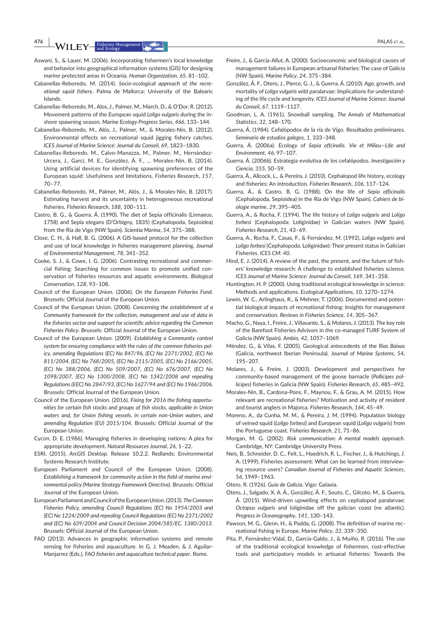**476 |**  PALAS et AL.

- Aswani, S., & Lauer, M. (2006). Incorporating fishermen's local knowledge and behavior into geographical information systems (GIS) for designing marine protected areas in Oceania. *Human Organization*, *65*, 81–102.
- Cabanellas-Reboredo, M. (2014). *Socio-ecological approach of the recreational squid fishery*. Palma de Mallorca: University of the Balearic Islands.
- Cabanellas-Reboredo, M., Alos, J., Palmer, M., March, D., & O'Dor, R. (2012). Movement patterns of the European squid *Loligo vulgaris* during the inshore spawning season. *Marine Ecology Progress Series*, *466*, 133–144.
- Cabanellas-Reboredo, M., Alós, J., Palmer, M., & Morales-Nin, B. (2012). Environmental effects on recreational squid jigging fishery catches. *ICES Journal of Marine Science: Journal du Conseil*, *69*, 1823–1830.
- Cabanellas-Reboredo, M., Calvo-Manazza, M., Palmer, M., Hernández-Urcera, J., Garci, M. E., González, Á. F., … Morales-Nin, B. (2014). Using artificial devices for identifying spawning preferences of the European squid: Usefulness and limitations. *Fisheries Research*, *157*, 70–77.
- Cabanellas-Reboredo, M., Palmer, M., Alós, J., & Morales-Nin, B. (2017). Estimating harvest and its uncertainty in heterogeneous recreational fisheries. *Fisheries Research*, *188*, 100–111.
- Castro, B. G., & Guerra, Á. (1990). The diet of Sepia officinalis (Linnaeus, 1758) and Sepia elegans (D'Orbigny, 1835) (Cephalopoda, Sepioidea) from the Ría de Vigo (NW Spain). *Scientia Marina*, *54*, 375–388.
- Close, C. H., & Hall, B. G. (2006). A GIS-based protocol for the collection and use of local knowledge in fisheries management planning. *Journal of Environmental Management*, *78*, 341–352.
- Cooke, S. J., & Cowx, I. G. (2006). Contrasting recreational and commercial fishing: Searching for common issues to promote unified conservation of fisheries resources and aquatic environments. *Biological Conservation*, *128*, 93–108.
- Council of the European Union. (2006). *On the European Fisheries Fund*. Brussels: Official Journal of the European Union.
- Council of the European Union. (2008). *Concerning the establishment of a Community framework for the collection, management and use of data in the fisheries sector and support for scientific advice regarding the Common Fisheries Policy*. Brussels: Official Journal of the European Union.
- Council of the European Union. (2009). *Establishing a Community control system for ensuring compliance with the rules of the common fisheries policy, amending Regulations (EC) No 847/96, (EC) No 2371/2002, (EC) No 811/2004, (EC) No 768/2005, (EC) No 2115/2005, (EC) No 2166/2005, (EC) No 388/2006, (EC) No 509/2007, (EC) No 676/2007, (EC) No 1098/2007, (EC) No 1300/2008, (EC) No 1342/2008 and repealing Regulations (EEC) No 2847/93, (EC) No 1627/94 and (EC) No 1966/2006*. Brussels: Official Journal of the European Union.
- Council of the European Union. (2016). *Fixing for 2016 the fishing opportunities for certain fish stocks and groups of fish stocks, applicable in Union waters and, for Union fishing vessels, in certain non-Union waters, and amending Regulation (EU) 2015/104*. Brussels: Official Journal of the European Union.
- Cycon, D. E. (1986). Managing fisheries in developing nations: A plea for appropriate development. *Natural Resources Journal*, *26*, 1–22.
- ESRI. (2015). *ArcGIS Desktop*. Release 10.2.2. Redlands: Environmental Systems Research Institute.
- European Parliament and Council of the European Union. (2008). *Establishing a framework for community action in the field of marine environmental policy (Marine Strategy Framework Directive)*. Brussels: Official Journal of the European Union.
- European Parliament and Council of the European Union. (2013). *The Common Fisheries Policy, amending Council Regulations (EC) No 1954/2003 and (EC) No 1224/2009 and repealing Council Regulations (EC) No 2371/2002 and (EC) No 639/2004 and Council Decision 2004/585/EC. 1380/2013*. Brussels: Official Journal of the European Union.
- FAO (2013). Advances in geographic information systems and remote sensing for fisheries and aquaculture. In G. J. Meaden, & J. Aguilar-Manjarrez (Eds.), *FAO fisheries and aquaculture technical paper*. Rome.
- Freire, J., & García-Allut, A. (2000). Socioeconomic and biological causes of management failures in European artisanal fisheries: The case of Galicia (NW Spain). *Marine Policy*, *24*, 375–384.
- González, Á. F., Otero, J., Pierce, G. J., & Guerra, Á. (2010). Age, growth, and mortality of *Loligo vulgaris* wild paralarvae: Implications for understanding of the life cycle and longevity. *ICES Journal of Marine Science: Journal du Conseil*, *67*, 1119–1127.
- Goodman, L. A. (1961). Snowball sampling. *The Annals of Mathematical Statistics*, *32*, 148–170.
- Guerra, Á. (1984). Cefalópodos de la ría de Vigo. Resultados preliminares. *Seminario de estudios galegos*, *1*, 333–348.
- Guerra, Á. (2006a). Ecology of *Sepia offcinalis*. *Vie et Milieu—Life and Environment*, *46*, 97–107.
- Guerra, Á. (2006b). Estrategia evolutiva de los cefalópodos. *Investigación y Ciencia*, *355*, 50–59.
- Guerra, Á., Allcock, L., & Pereira, J. (2010). Cephalopod life history, ecology and fisheries: An introduction. *Fisheries Research*, *106*, 117–124.
- Guerra, Á., & Castro, B. G. (1988). On the life of *Sepia officinalis* (Cephalopoda, Sepioidea) in the Ria de Vigo (NW Spain). *Cahiers de biologie marine*, *29*, 395–405.
- Guerra, A., & Rocha, F. (1994). The life history of *Loligo vulgaris* and *Loligo forbesi* (Cephalopoda: Loliginidae) in Galician waters (NW Spain). *Fisheries Research*, *21*, 43–69.
- Guerra, A., Rocha, F., Casas, F., & Fernández, M. (1992). *Loligo vulgaris* and *Loligo forbesi* (Cephalopoda, Loliginidae): Their present status in Galician Fisheries. *ICES CM*: *40*.
- Hind, E. J. (2014). A review of the past, the present, and the future of fishers' knowledge research: A challenge to established fisheries science. *ICES Journal of Marine Science: Journal du Conseil*, *169*, 341–358.
- Huntington, H. P. (2000). Using traditional ecological knowledge in science: Methods and applications. *Ecological Applications*, *10*, 1270–1274.
- Lewin, W. C., Arlinghaus, R., & Mehner, T. (2006). Documented and potential biological impacts of recreational fishing: Insights for management and conservation. *Reviews in Fisheries Science*, *14*, 305–367.
- Macho, G., Naya, I., Freire, J., Villasante, S., & Molares, J. (2013). The key role of the Barefoot Fisheries Advisors in the co-managed TURF System of Galicia (NW Spain). *Ambio*, *42*, 1057–1069.
- Méndez, G., & Vilas, F. (2005). Geological antecedents of the *Rias Baixas* (Galicia, northwest Iberian Peninsula). *Journal of Marine Systems*, *54*, 195–207.
- Molares, J., & Freire, J. (2003). Development and perspectives for community-based management of the goose barnacle (*Pollicipes pollicipes*) fisheries in Galicia (NW Spain). *Fisheries Research*, *65*, 485–492.
- Morales-Nin, B., Cardona-Pons, F., Maynou, F., & Grau, A. M. (2015). How relevant are recreational fisheries? Motivation and activity of resident and tourist anglers in Majorca. *Fisheries Research*, *164*, 45–49.
- Moreno, A., da Cunha, M. M., & Pereira, J. M. (1994). Population biology of veined squid (*Loligo forbesi*) and European squid (*Loligo vulgaris*) from the Portuguese coast. *Fisheries Research*, *21*, 71–86.
- Morgan, M. G. (2002). *Risk communication: A mental models approach*. Cambridge, NY: Cambridge University Press.
- Neis, B., Schneider, D. C., Felt, L., Haedrich, R. L., Fischer, J., & Hutchings, J. A. (1999). Fisheries assessment: What can be learned from interviewing resource users? *Canadian Journal of Fisheries and Aquatic Sciences*, *56*, 1949–1963.

Otero, R. (1926). *Guía de Galicia*. Vigo: Galaxia.

- Otero, J., Salgado, X. A. Á., González, Á. F., Souto, C., Gilcoto, M., & Guerra, Á. (2015). Wind-driven upwelling effects on cephalopod paralarvae: *Octopus vulgaris* and loliginidae off the galician coast (ne atlantic). *Progress in Oceanography*, *141*, 130–143.
- Pawson, M. G., Glenn, H., & Padda, G. (2008). The definition of marine recreational fishing in Europe. *Marine Policy*, *32*, 339–350.
- Pita, P., Fernández-Vidal, D., García-Galdo, J., & Muíño, R. (2016). The use of the traditional ecological knowledge of fishermen, cost-effective tools and participatory models in artisanal fisheries: Towards the